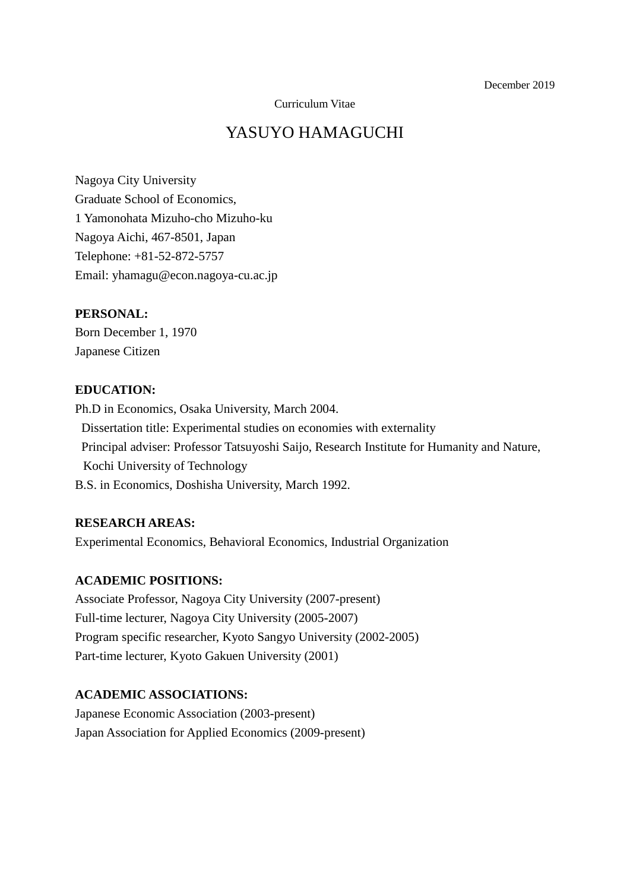Curriculum Vitae

# YASUYO HAMAGUCHI

Nagoya City University Graduate School of Economics, 1 Yamonohata Mizuho-cho Mizuho-ku Nagoya Aichi, 467-8501, Japan Telephone: +81-52-872-5757 Email: yhamagu@econ.nagoya-cu.ac.jp

#### **PERSONAL:**

Born December 1, 1970 Japanese Citizen

## **EDUCATION:**

Ph.D in Economics, Osaka University, March 2004. Dissertation title: Experimental studies on economies with externality Principal adviser: Professor Tatsuyoshi Saijo, Research Institute for Humanity and Nature, Kochi University of Technology B.S. in Economics, Doshisha University, March 1992.

#### **RESEARCH AREAS:**

Experimental Economics, Behavioral Economics, Industrial Organization

## **ACADEMIC POSITIONS:**

Associate Professor, Nagoya City University (2007-present) Full-time lecturer, Nagoya City University (2005-2007) Program specific researcher, Kyoto Sangyo University (2002-2005) Part-time lecturer, Kyoto Gakuen University (2001)

## **ACADEMIC ASSOCIATIONS:**

Japanese Economic Association (2003-present) Japan Association for Applied Economics (2009-present)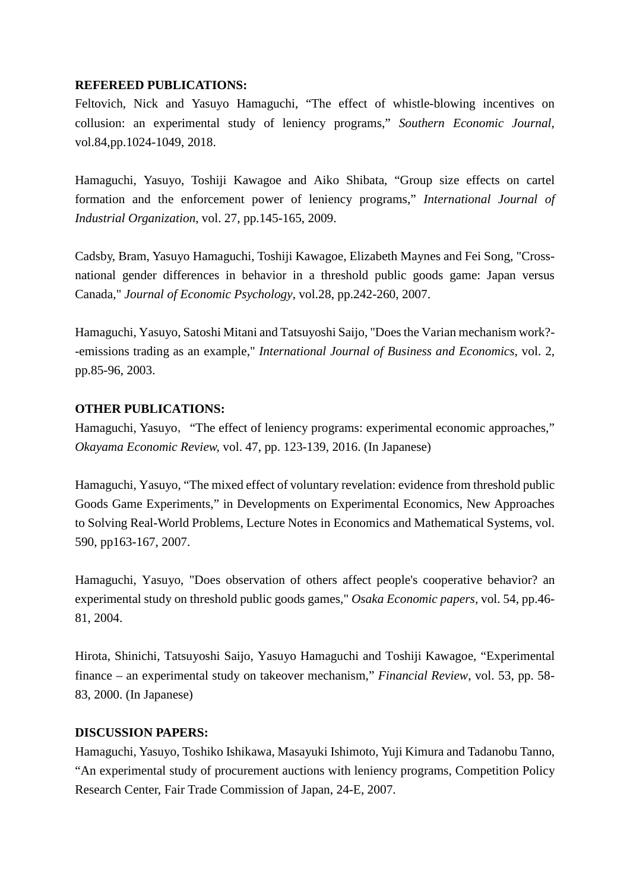#### **REFEREED PUBLICATIONS:**

Feltovich, Nick and Yasuyo Hamaguchi, "The effect of whistle-blowing incentives on collusion: an experimental study of leniency programs," *Southern Economic Journal*, vol.84,pp.1024-1049, 2018.

Hamaguchi, Yasuyo, Toshiji Kawagoe and Aiko Shibata, "Group size effects on cartel formation and the enforcement power of leniency programs," *International Journal of Industrial Organization*, vol. 27, pp.145-165, 2009.

Cadsby, Bram, Yasuyo Hamaguchi, Toshiji Kawagoe, Elizabeth Maynes and Fei Song, "Crossnational gender differences in behavior in a threshold public goods game: Japan versus Canada," *Journal of Economic Psychology*, vol.28, pp.242-260, 2007.

Hamaguchi, Yasuyo, Satoshi Mitani and Tatsuyoshi Saijo, "Does the Varian mechanism work?- -emissions trading as an example," *International Journal of Business and Economics*, vol. 2, pp.85-96, 2003.

# **OTHER PUBLICATIONS:**

Hamaguchi, Yasuyo, "The effect of leniency programs: experimental economic approaches," *Okayama Economic Review,* vol. 47, pp. 123-139, 2016. (In Japanese)

Hamaguchi, Yasuyo, "The mixed effect of voluntary revelation: evidence from threshold public Goods Game Experiments," in Developments on Experimental Economics, New Approaches to Solving Real-World Problems, Lecture Notes in Economics and Mathematical Systems, vol. 590, pp163-167, 2007.

Hamaguchi, Yasuyo, "Does observation of others affect people's cooperative behavior? an experimental study on threshold public goods games," *Osaka Economic papers,* vol. 54, pp.46- 81, 2004.

Hirota, Shinichi, Tatsuyoshi Saijo, Yasuyo Hamaguchi and Toshiji Kawagoe, "Experimental finance – an experimental study on takeover mechanism," *Financial Review*, vol. 53, pp. 58- 83, 2000. (In Japanese)

#### **DISCUSSION PAPERS:**

Hamaguchi, Yasuyo, Toshiko Ishikawa, Masayuki Ishimoto, Yuji Kimura and Tadanobu Tanno, "An experimental study of procurement auctions with leniency programs, Competition Policy Research Center, Fair Trade Commission of Japan, 24-E, 2007.